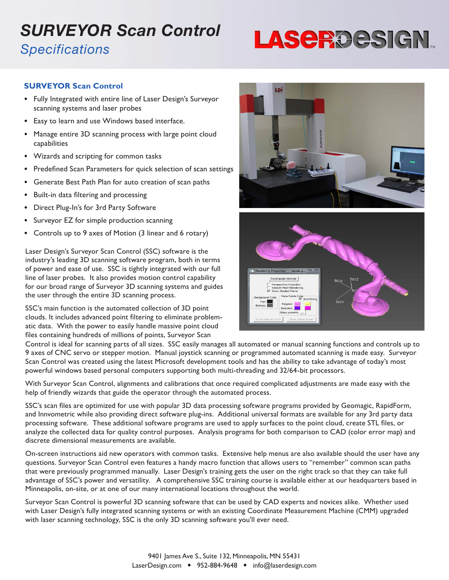### *SURVEYOR Scan Control Specifications*

# LASE ROESIGN.

#### **SURVEYOR Scan Control**

- Fully Integrated with entire line of Laser Design's Surveyor scanning systems and laser probes
- Easy to learn and use Windows based interface.
- Manage entire 3D scanning process with large point cloud capabilities
- Wizards and scripting for common tasks
- Predefined Scan Parameters for quick selection of scan settings
- Generate Best Path Plan for auto creation of scan paths
- Built-in data filtering and processing
- Direct Plug-In's for 3rd Party Software
- Surveyor EZ for simple production scanning
- Controls up to 9 axes of Motion (3 linear and 6 rotary)

Laser Design's Surveyor Scan Control (SSC) software is the industry's leading 3D scanning software program, both in terms of power and ease of use. SSC is tightly integrated with our full line of laser probes. It also provides motion control capability for our broad range of Surveyor 3D scanning systems and guides the user through the entire 3D scanning process.

SSC's main function is the automated collection of 3D point clouds. It includes advanced point filtering to eliminate problematic data. With the power to easily handle massive point cloud files containing hundreds of millions of points, Surveyor Scan





Control is ideal for scanning parts of all sizes. SSC easily manages all automated or manual scanning functions and controls up to 9 axes of CNC servo or stepper motion. Manual joystick scanning or programmed automated scanning is made easy. Surveyor Scan Control was created using the latest Microsoft development tools and has the ability to take advantage of today's most powerful windows based personal computers supporting both multi-threading and 32/64-bit processors.

With Surveyor Scan Control, alignments and calibrations that once required complicated adjustments are made easy with the help of friendly wizards that guide the operator through the automated process.

SSC's scan files are optimized for use with popular 3D data processing software programs provided by Geomagic, RapidForm, and Innvometric while also providing direct software plug-ins. Additional universal formats are available for any 3rd party data processing software. These additional software programs are used to apply surfaces to the point cloud, create STL files, or analyze the collected data for quality control purposes. Analysis programs for both comparison to CAD (color error map) and discrete dimensional measurements are available.

On-screen instructions aid new operators with common tasks. Extensive help menus are also available should the user have any questions. Surveyor Scan Control even features a handy macro function that allows users to "remember" common scan paths that were previously programmed manually. Laser Design's training gets the user on the right track so that they can take full advantage of SSC's power and versatility. A comprehensive SSC training course is available either at our headquarters based in Minneapolis, on-site, or at one of our many international locations throughout the world.

Surveyor Scan Control is powerful 3D scanning software that can be used by CAD experts and novices alike. Whether used with Laser Design's fully integrated scanning systems or with an existing Coordinate Measurement Machine (CMM) upgraded with laser scanning technology, SSC is the only 3D scanning software you'll ever need.